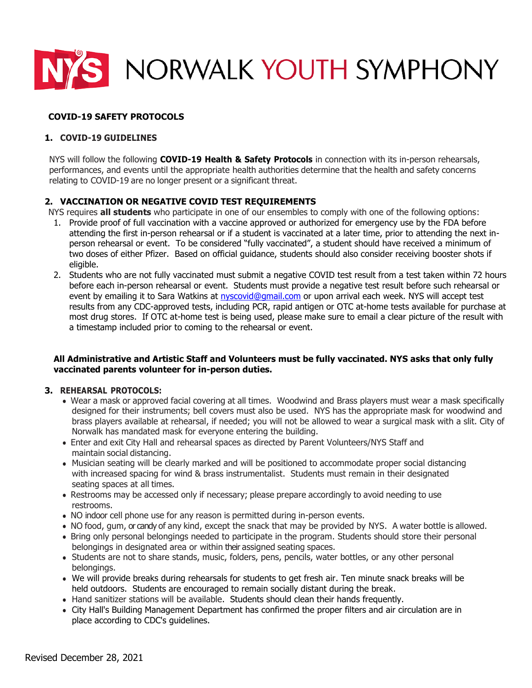

# **COVID-19 SAFETY PROTOCOLS**

### **1. COVID-19 GUIDELINES**

NYS will follow the following **COVID-19 Health & Safety Protocols** in connection with its in-person rehearsals, performances, and events until the appropriate health authorities determine that the health and safety concerns relating to COVID-19 are no longer present or a significant threat.

# **2. VACCINATION OR NEGATIVE COVID TEST REQUIREMENTS**

NYS requires **all students** who participate in one of our ensembles to comply with one of the following options:

- 1. Provide proof of full vaccination with a vaccine approved or authorized for emergency use by the FDA before attending the first in-person rehearsal or if a student is vaccinated at a later time, prior to attending the next inperson rehearsal or event. To be considered "fully vaccinated", a student should have received a minimum of two doses of either Pfizer. Based on official guidance, students should also consider receiving booster shots if eligible.
- 2. Students who are not fully vaccinated must submit a negative COVID test result from a test taken within 72 hours before each in-person rehearsal or event. Students must provide a negative test result before such rehearsal or event by emailing it to Sara Watkins at [nyscovid@gmail.com](mailto:nyscovid@gmail.com) or upon arrival each week. NYS will accept test results from any CDC-approved tests, including PCR, rapid antigen or OTC at-home tests available for purchase at most drug stores. If OTC at-home test is being used, please make sure to email a clear picture of the result with a timestamp included prior to coming to the rehearsal or event.

#### **All Administrative and Artistic Staff and Volunteers must be fully vaccinated. NYS asks that only fully vaccinated parents volunteer for in-person duties.**

#### **3. REHEARSAL PROTOCOLS:**

- Wear a mask or approved facial covering at all times. Woodwind and Brass players must wear a mask specifically designed for their instruments; bell covers must also be used. NYS has the appropriate mask for woodwind and brass players available at rehearsal, if needed; you will not be allowed to wear a surgical mask with a slit. City of Norwalk has mandated mask for everyone entering the building.
- Enter and exit City Hall and rehearsal spaces as directed by Parent Volunteers/NYS Staff and maintain social distancing.
- Musician seating will be clearly marked and will be positioned to accommodate proper social distancing with increased spacing for wind & brass instrumentalist. Students must remain in their designated seating spaces at all times.
- Restrooms may be accessed only if necessary; please prepare accordingly to avoid needing to use restrooms.
- NO indoor cell phone use for any reason is permitted during in-person events.
- NO food, gum, or candy of any kind, except the snack that may be provided by NYS. A water bottle is allowed.
- Bring only personal belongings needed to participate in the program. Students should store their personal belongings in designated area or within their assigned seating spaces.
- Students are not to share stands, music, folders, pens, pencils, water bottles, or any other personal belongings.
- We will provide breaks during rehearsals for students to get fresh air. Ten minute snack breaks will be held outdoors. Students are encouraged to remain socially distant during the break.
- Hand sanitizer stations will be available. Students should clean their hands frequently.
- City Hall's Building Management Department has confirmed the proper filters and air circulation are in place according to CDC's guidelines.